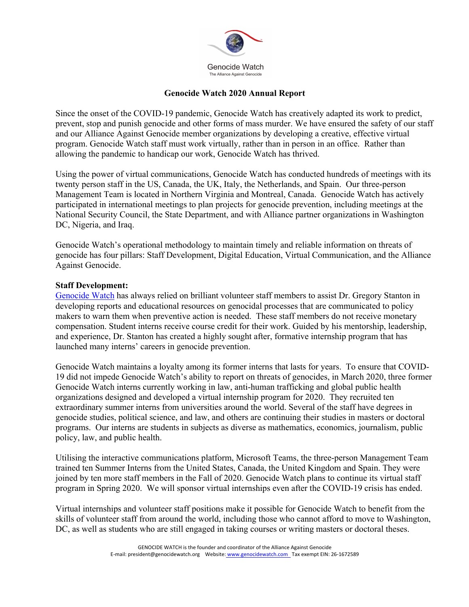

# **Genocide Watch 2020 Annual Report**

Since the onset of the COVID-19 pandemic, Genocide Watch has creatively adapted its work to predict, prevent, stop and punish genocide and other forms of mass murder. We have ensured the safety of our staff and our Alliance Against Genocide member organizations by developing a creative, effective virtual program. Genocide Watch staff must work virtually, rather than in person in an office. Rather than allowing the pandemic to handicap our work, Genocide Watch has thrived.

Using the power of virtual communications, Genocide Watch has conducted hundreds of meetings with its twenty person staff in the US, Canada, the UK, Italy, the Netherlands, and Spain. Our three-person Management Team is located in Northern Virginia and Montreal, Canada. Genocide Watch has actively participated in international meetings to plan projects for genocide prevention, including meetings at the National Security Council, the State Department, and with Alliance partner organizations in Washington DC, Nigeria, and Iraq.

Genocide Watch's operational methodology to maintain timely and reliable information on threats of genocide has four pillars: Staff Development, Digital Education, Virtual Communication, and the Alliance Against Genocide.

### **Staff Development:**

Genocide Watch has always relied on brilliant volunteer staff members to assist Dr. Gregory Stanton in developing reports and educational resources on genocidal processes that are communicated to policy makers to warn them when preventive action is needed. These staff members do not receive monetary compensation. Student interns receive course credit for their work. Guided by his mentorship, leadership, and experience, Dr. Stanton has created a highly sought after, formative internship program that has launched many interns' careers in genocide prevention.

Genocide Watch maintains a loyalty among its former interns that lasts for years. To ensure that COVID-19 did not impede Genocide Watch's ability to report on threats of genocides, in March 2020, three former Genocide Watch interns currently working in law, anti-human trafficking and global public health organizations designed and developed a virtual internship program for 2020. They recruited ten extraordinary summer interns from universities around the world. Several of the staff have degrees in genocide studies, political science, and law, and others are continuing their studies in masters or doctoral programs. Our interns are students in subjects as diverse as mathematics, economics, journalism, public policy, law, and public health.

Utilising the interactive communications platform, Microsoft Teams, the three-person Management Team trained ten Summer Interns from the United States, Canada, the United Kingdom and Spain. They were joined by ten more staff members in the Fall of 2020. Genocide Watch plans to continue its virtual staff program in Spring 2020. We will sponsor virtual internships even after the COVID-19 crisis has ended.

Virtual internships and volunteer staff positions make it possible for Genocide Watch to benefit from the skills of volunteer staff from around the world, including those who cannot afford to move to Washington, DC, as well as students who are still engaged in taking courses or writing masters or doctoral theses.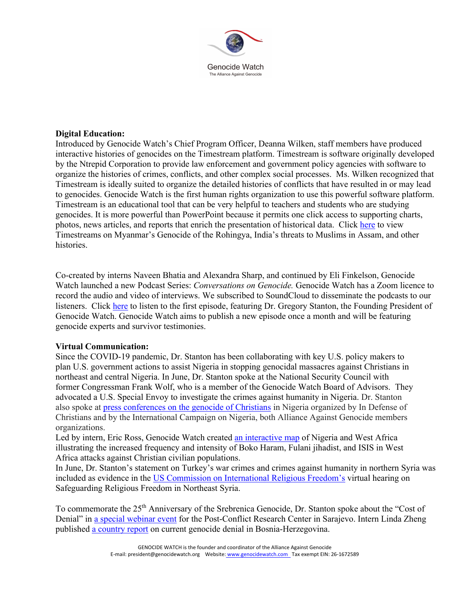

# **Digital Education:**

Introduced by Genocide Watch's Chief Program Officer, Deanna Wilken, staff members have produced interactive histories of genocides on the Timestream platform. Timestream is software originally developed by the Ntrepid Corporation to provide law enforcement and government policy agencies with software to organize the histories of crimes, conflicts, and other complex social processes. Ms. Wilken recognized that Timestream is ideally suited to organize the detailed histories of conflicts that have resulted in or may lead to genocides. Genocide Watch is the first human rights organization to use this powerful software platform. Timestream is an educational tool that can be very helpful to teachers and students who are studying genocides. It is more powerful than PowerPoint because it permits one click access to supporting charts, photos, news articles, and reports that enrich the presentation of historical data. Click here to view Timestreams on Myanmar's Genocide of the Rohingya, India's threats to Muslims in Assam, and other histories.

Co-created by interns Naveen Bhatia and Alexandra Sharp, and continued by Eli Finkelson, Genocide Watch launched a new Podcast Series: *Conversations on Genocide.* Genocide Watch has a Zoom licence to record the audio and video of interviews. We subscribed to SoundCloud to disseminate the podcasts to our listeners. Click here to listen to the first episode, featuring Dr. Gregory Stanton, the Founding President of Genocide Watch. Genocide Watch aims to publish a new episode once a month and will be featuring genocide experts and survivor testimonies.

### **Virtual Communication:**

Since the COVID-19 pandemic, Dr. Stanton has been collaborating with key U.S. policy makers to plan U.S. government actions to assist Nigeria in stopping genocidal massacres against Christians in northeast and central Nigeria. In June, Dr. Stanton spoke at the National Security Council with former Congressman Frank Wolf, who is a member of the Genocide Watch Board of Advisors. They advocated a U.S. Special Envoy to investigate the crimes against humanity in Nigeria. Dr. Stanton also spoke at press conferences on the genocide of Christians in Nigeria organized by In Defense of Christians and by the International Campaign on Nigeria, both Alliance Against Genocide members organizations.

Led by intern, Eric Ross, Genocide Watch created an interactive map of Nigeria and West Africa illustrating the increased frequency and intensity of Boko Haram, Fulani jihadist, and ISIS in West Africa attacks against Christian civilian populations.

In June, Dr. Stanton's statement on Turkey's war crimes and crimes against humanity in northern Syria was included as evidence in the US Commission on International Religious Freedom's virtual hearing on Safeguarding Religious Freedom in Northeast Syria.

To commemorate the 25<sup>th</sup> Anniversary of the Srebrenica Genocide, Dr. Stanton spoke about the "Cost of Denial" in a special webinar event for the Post-Conflict Research Center in Sarajevo. Intern Linda Zheng published a country report on current genocide denial in Bosnia-Herzegovina.